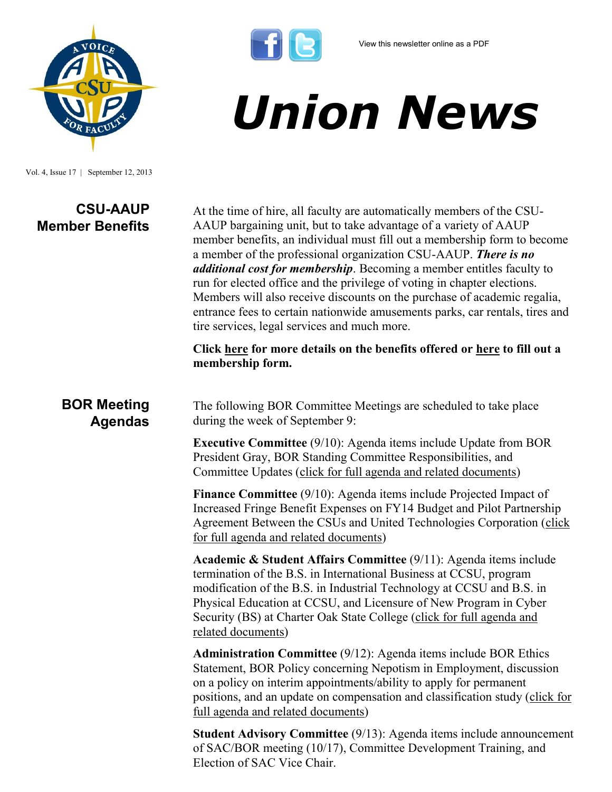

Vol. 4, Issue 17 | September 12, 2013

# **CSU-AAUP Member Benefits**

At the time of hire, all faculty are automatically members of the CSU-AAUP bargaining unit, but to take advantage of a variety of AAUP member benefits, an individual must fill out a membership form to become a member of the professional organization CSU-AAUP. *There is no additional cost for membership*. Becoming a member entitles faculty to run for elected office and the privilege of voting in chapter elections. Members will also receive discounts on the purchase of academic regalia, entrance fees to certain nationwide amusements parks, car rentals, tires and tire services, legal services and much more.

*Union News*

**Click [here](http://www.csuaaup.org/?page_id=58) for more details on the benefits offered or [here](http://www.csuaaup.org/?page_id=44) to fill out a membership form.** 

## **BOR Meeting Agendas**

The following BOR Committee Meetings are scheduled to take place during the week of September 9:

**Executive Committee** (9/10): Agenda items include Update from BOR President Gray, BOR Standing Committee Responsibilities, and Committee Updates ([click for full agenda and related documents\)](http://www.ct.edu/images/uploads/Executive-Agenda-09-10-2013.pdf?111315)

**Finance Committee** (9/10): Agenda items include Projected Impact of Increased Fringe Benefit Expenses on FY14 Budget and Pilot Partnership Agreement Between the CSUs and United Technologies Corporation ([click](http://www.ct.edu/images/uploads/Finance-Agenda-09-10-2013.pdf?115258)  [for full agenda and related documents\)](http://www.ct.edu/images/uploads/Finance-Agenda-09-10-2013.pdf?115258)

**Academic & Student Affairs Committee** (9/11): Agenda items include termination of the B.S. in International Business at CCSU, program modification of the B.S. in Industrial Technology at CCSU and B.S. in Physical Education at CCSU, and Licensure of New Program in Cyber Security (BS) at Charter Oak State College ([click for full agenda and](http://www.ct.edu/images/uploads/ASA-Agenda-09-11-2013_v2.pdf?91837)  [related documents\)](http://www.ct.edu/images/uploads/ASA-Agenda-09-11-2013_v2.pdf?91837)

**Administration Committee** (9/12): Agenda items include BOR Ethics Statement, BOR Policy concerning Nepotism in Employment, discussion on a policy on interim appointments/ability to apply for permanent positions, and an update on compensation and classification study ([click for](http://www.ct.edu/images/uploads/Admin-Agenda-09-12-2013.pdf?91837)  [full agenda and related documents\)](http://www.ct.edu/images/uploads/Admin-Agenda-09-12-2013.pdf?91837)

**Student Advisory Committee** (9/13): Agenda items include announcement of SAC/BOR meeting (10/17), Committee Development Training, and Election of SAC Vice Chair.